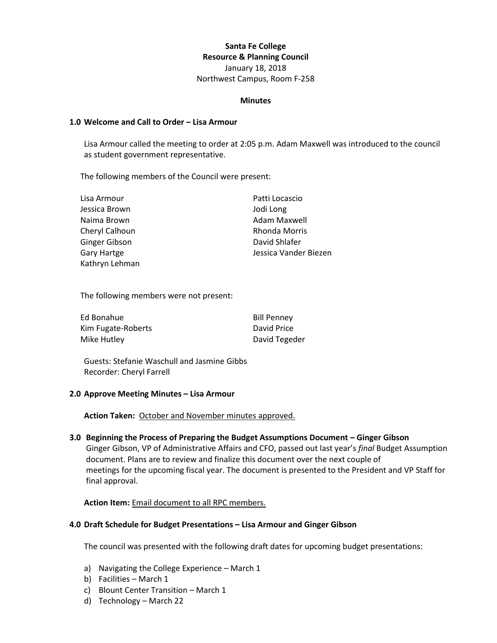# **Santa Fe College Resource & Planning Council** January 18, 2018 Northwest Campus, Room F-258

#### **Minutes**

### **1.0 Welcome and Call to Order – Lisa Armour**

Lisa Armour called the meeting to order at 2:05 p.m. Adam Maxwell was introduced to the council as student government representative.

The following members of the Council were present:

| Lisa Armour        | Patti Locascio        |
|--------------------|-----------------------|
| Jessica Brown      | Jodi Long             |
| Naima Brown        | Adam Maxwell          |
| Cheryl Calhoun     | Rhonda Morris         |
| Ginger Gibson      | David Shlafer         |
| <b>Gary Hartge</b> | Jessica Vander Biezen |
| Kathryn Lehman     |                       |

The following members were not present:

| Ed Bonahue         | <b>Bill Penney</b> |
|--------------------|--------------------|
| Kim Fugate-Roberts | David Price        |
| Mike Hutley        | David Tegeder      |

Guests: Stefanie Waschull and Jasmine Gibbs Recorder: Cheryl Farrell

### **2.0 Approve Meeting Minutes – Lisa Armour**

**Action Taken:** October and November minutes approved.

**3.0 Beginning the Process of Preparing the Budget Assumptions Document – Ginger Gibson** Ginger Gibson, VP of Administrative Affairs and CFO, passed out last year's *final* Budget Assumption document. Plans are to review and finalize this document over the next couple of meetings for the upcoming fiscal year. The document is presented to the President and VP Staff for final approval.

### **Action Item:** Email document to all RPC members.

### **4.0 Draft Schedule for Budget Presentations – Lisa Armour and Ginger Gibson**

The council was presented with the following draft dates for upcoming budget presentations:

- a) Navigating the College Experience March 1
- b) Facilities March 1
- c) Blount Center Transition March 1
- d) Technology March 22